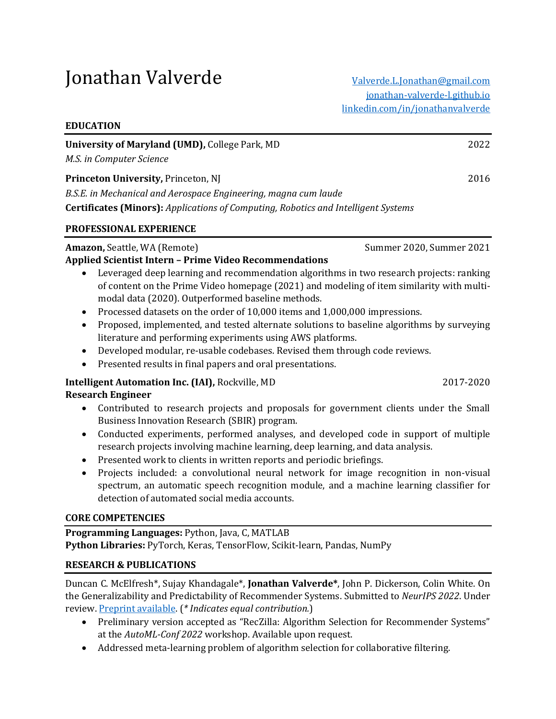# Jonathan Valverde [Valverde.L.Jonathan@gmail.com](mailto:Valverde.L.Jonathan@gmail.com)

| University of Maryland (UMD), College Park, MD<br>M.S. in Computer Science                | 2022 |
|-------------------------------------------------------------------------------------------|------|
| <b>Princeton University, Princeton, NJ</b>                                                | 2016 |
| B.S.E. in Mechanical and Aerospace Engineering, magna cum laude                           |      |
| <b>Certificates (Minors):</b> Applications of Computing, Robotics and Intelligent Systems |      |

#### **PROFESSIONAL EXPERIENCE**

**EDUCATION**

## **Amazon, Seattle, WA (Remote) Summer 2020, Summer 2021**

#### **Applied Scientist Intern – Prime Video Recommendations**

- Leveraged deep learning and recommendation algorithms in two research projects: ranking of content on the Prime Video homepage (2021) and modeling of item similarity with multimodal data (2020). Outperformed baseline methods.
- Processed datasets on the order of 10,000 items and 1,000,000 impressions.
- Proposed, implemented, and tested alternate solutions to baseline algorithms by surveying literature and performing experiments using AWS platforms.
- Developed modular, re-usable codebases. Revised them through code reviews.
- Presented results in final papers and oral presentations.

# **Intelligent Automation Inc. (IAI),** Rockville, MD 2017-2020

# **Research Engineer**

- Contributed to research projects and proposals for government clients under the Small Business Innovation Research (SBIR) program.
- Conducted experiments, performed analyses, and developed code in support of multiple research projects involving machine learning, deep learning, and data analysis.
- Presented work to clients in written reports and periodic briefings.
- Projects included: a convolutional neural network for image recognition in non-visual spectrum, an automatic speech recognition module, and a machine learning classifier for detection of automated social media accounts.

## **CORE COMPETENCIES**

**Programming Languages:** Python, Java, C, MATLAB **Python Libraries:** PyTorch, Keras, TensorFlow, Scikit-learn, Pandas, NumPy

# **RESEARCH & PUBLICATIONS**

Duncan C. McElfresh\*, Sujay Khandagale\*, **Jonathan Valverde\***, John P. Dickerson, Colin White. On the Generalizability and Predictability of Recommender Systems. Submitted to *NeurIPS 2022*. Under review. [Preprint available.](https://arxiv.org/abs/2206.11886) (*\* Indicates equal contribution.*)

- Preliminary version accepted as "RecZilla: Algorithm Selection for Recommender Systems" at the *AutoML-Conf 2022* workshop. Available upon request.
- Addressed meta-learning problem of algorithm selection for collaborative filtering.